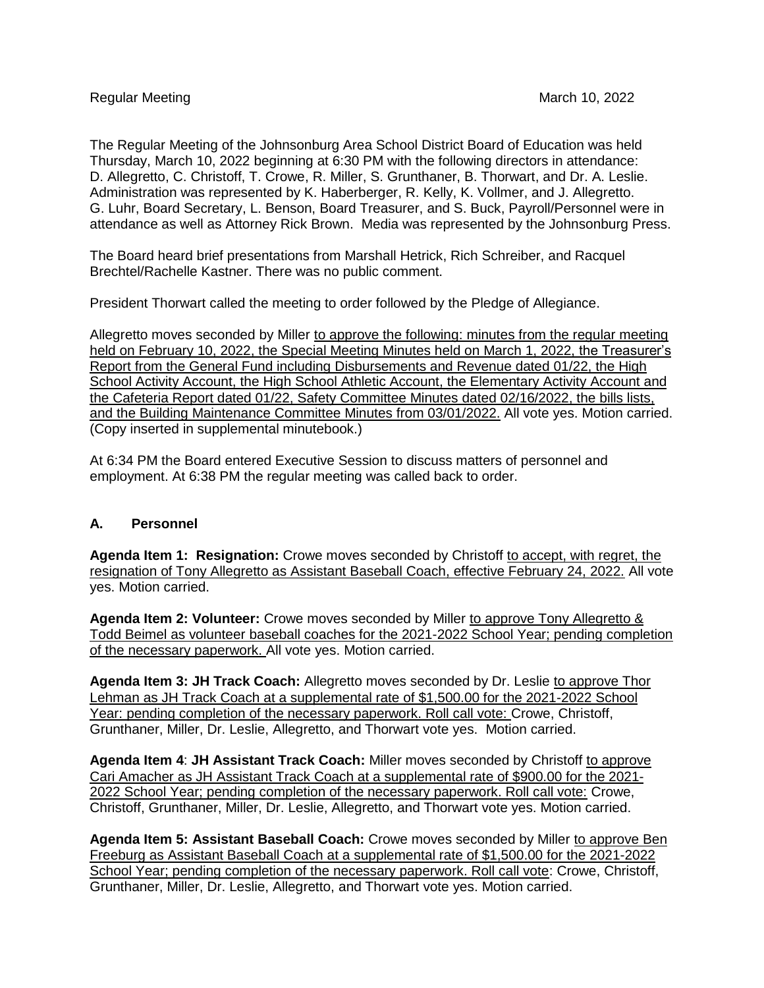The Regular Meeting of the Johnsonburg Area School District Board of Education was held Thursday, March 10, 2022 beginning at 6:30 PM with the following directors in attendance: D. Allegretto, C. Christoff, T. Crowe, R. Miller, S. Grunthaner, B. Thorwart, and Dr. A. Leslie. Administration was represented by K. Haberberger, R. Kelly, K. Vollmer, and J. Allegretto. G. Luhr, Board Secretary, L. Benson, Board Treasurer, and S. Buck, Payroll/Personnel were in attendance as well as Attorney Rick Brown. Media was represented by the Johnsonburg Press.

The Board heard brief presentations from Marshall Hetrick, Rich Schreiber, and Racquel Brechtel/Rachelle Kastner. There was no public comment.

President Thorwart called the meeting to order followed by the Pledge of Allegiance.

Allegretto moves seconded by Miller to approve the following: minutes from the regular meeting held on February 10, 2022, the Special Meeting Minutes held on March 1, 2022, the Treasurer's Report from the General Fund including Disbursements and Revenue dated 01/22, the High School Activity Account, the High School Athletic Account, the Elementary Activity Account and the Cafeteria Report dated 01/22, Safety Committee Minutes dated 02/16/2022, the bills lists, and the Building Maintenance Committee Minutes from 03/01/2022. All vote yes. Motion carried. (Copy inserted in supplemental minutebook.)

At 6:34 PM the Board entered Executive Session to discuss matters of personnel and employment. At 6:38 PM the regular meeting was called back to order.

## **A. Personnel**

**Agenda Item 1: Resignation:** Crowe moves seconded by Christoff to accept, with regret, the resignation of Tony Allegretto as Assistant Baseball Coach, effective February 24, 2022. All vote yes. Motion carried.

**Agenda Item 2: Volunteer:** Crowe moves seconded by Miller to approve Tony Allegretto & Todd Beimel as volunteer baseball coaches for the 2021-2022 School Year; pending completion of the necessary paperwork. All vote yes. Motion carried.

**Agenda Item 3: JH Track Coach:** Allegretto moves seconded by Dr. Leslie to approve Thor Lehman as JH Track Coach at a supplemental rate of \$1,500.00 for the 2021-2022 School Year: pending completion of the necessary paperwork. Roll call vote: Crowe, Christoff, Grunthaner, Miller, Dr. Leslie, Allegretto, and Thorwart vote yes. Motion carried.

Agenda Item 4: JH Assistant Track Coach: Miller moves seconded by Christoff to approve Cari Amacher as JH Assistant Track Coach at a supplemental rate of \$900.00 for the 2021- 2022 School Year; pending completion of the necessary paperwork. Roll call vote: Crowe, Christoff, Grunthaner, Miller, Dr. Leslie, Allegretto, and Thorwart vote yes. Motion carried.

**Agenda Item 5: Assistant Baseball Coach:** Crowe moves seconded by Miller to approve Ben Freeburg as Assistant Baseball Coach at a supplemental rate of \$1,500.00 for the 2021-2022 School Year; pending completion of the necessary paperwork. Roll call vote: Crowe, Christoff, Grunthaner, Miller, Dr. Leslie, Allegretto, and Thorwart vote yes. Motion carried.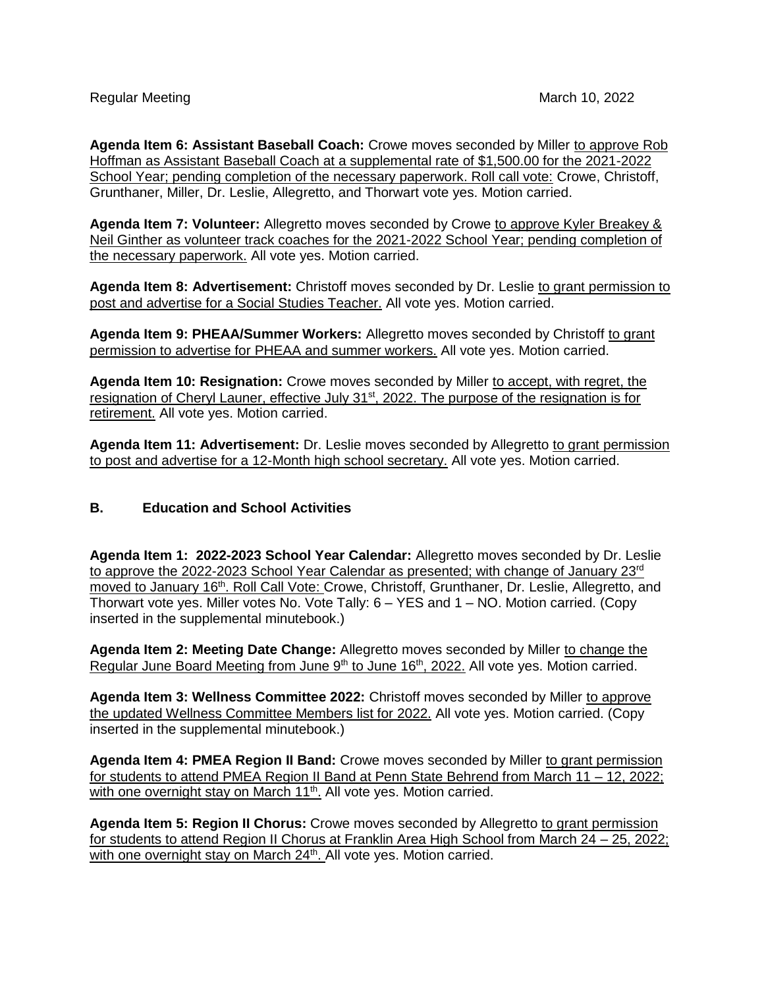**Agenda Item 6: Assistant Baseball Coach:** Crowe moves seconded by Miller to approve Rob Hoffman as Assistant Baseball Coach at a supplemental rate of \$1,500.00 for the 2021-2022 School Year; pending completion of the necessary paperwork. Roll call vote: Crowe, Christoff, Grunthaner, Miller, Dr. Leslie, Allegretto, and Thorwart vote yes. Motion carried.

**Agenda Item 7: Volunteer:** Allegretto moves seconded by Crowe to approve Kyler Breakey & Neil Ginther as volunteer track coaches for the 2021-2022 School Year; pending completion of the necessary paperwork. All vote yes. Motion carried.

**Agenda Item 8: Advertisement:** Christoff moves seconded by Dr. Leslie to grant permission to post and advertise for a Social Studies Teacher. All vote yes. Motion carried.

**Agenda Item 9: PHEAA/Summer Workers:** Allegretto moves seconded by Christoff to grant permission to advertise for PHEAA and summer workers. All vote yes. Motion carried.

**Agenda Item 10: Resignation:** Crowe moves seconded by Miller to accept, with regret, the resignation of Cheryl Launer, effective July 31<sup>st</sup>, 2022. The purpose of the resignation is for retirement. All vote yes. Motion carried.

Agenda Item 11: Advertisement: Dr. Leslie moves seconded by Allegretto to grant permission to post and advertise for a 12-Month high school secretary. All vote yes. Motion carried.

## **B. Education and School Activities**

**Agenda Item 1: 2022-2023 School Year Calendar:** Allegretto moves seconded by Dr. Leslie to approve the 2022-2023 School Year Calendar as presented; with change of January 23rd moved to January 16<sup>th</sup>. Roll Call Vote: Crowe, Christoff, Grunthaner, Dr. Leslie, Allegretto, and Thorwart vote yes. Miller votes No. Vote Tally: 6 – YES and 1 – NO. Motion carried. (Copy inserted in the supplemental minutebook.)

**Agenda Item 2: Meeting Date Change:** Allegretto moves seconded by Miller to change the Regular June Board Meeting from June 9<sup>th</sup> to June 16<sup>th</sup>, 2022. All vote yes. Motion carried.

**Agenda Item 3: Wellness Committee 2022:** Christoff moves seconded by Miller to approve the updated Wellness Committee Members list for 2022. All vote yes. Motion carried. (Copy inserted in the supplemental minutebook.)

**Agenda Item 4: PMEA Region II Band:** Crowe moves seconded by Miller to grant permission for students to attend PMEA Region II Band at Penn State Behrend from March 11 – 12, 2022; with one overnight stay on March 11<sup>th</sup>. All vote yes. Motion carried.

**Agenda Item 5: Region II Chorus:** Crowe moves seconded by Allegretto to grant permission for students to attend Region II Chorus at Franklin Area High School from March 24 – 25, 2022; with one overnight stay on March 24<sup>th</sup>. All vote yes. Motion carried.